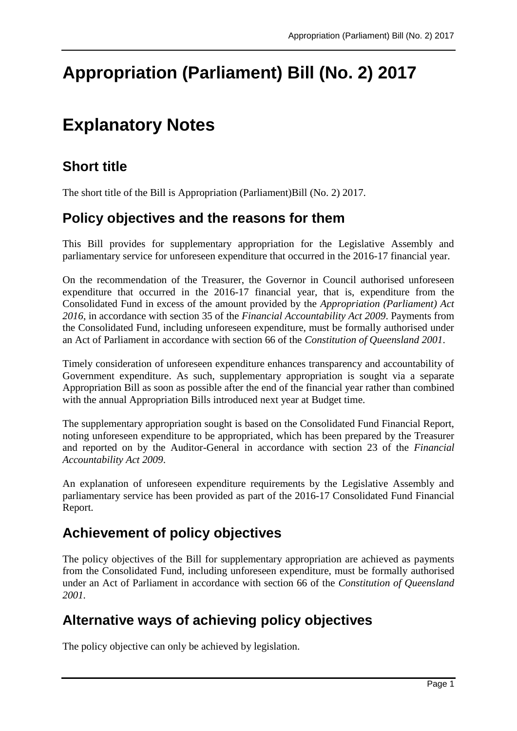# **Appropriation (Parliament) Bill (No. 2) 2017**

## **Explanatory Notes**

#### **Short title**

The short title of the Bill is Appropriation (Parliament)Bill (No. 2) 2017.

#### **Policy objectives and the reasons for them**

This Bill provides for supplementary appropriation for the Legislative Assembly and parliamentary service for unforeseen expenditure that occurred in the 2016-17 financial year.

On the recommendation of the Treasurer, the Governor in Council authorised unforeseen expenditure that occurred in the 2016-17 financial year, that is, expenditure from the Consolidated Fund in excess of the amount provided by the *Appropriation (Parliament) Act 2016*, in accordance with section 35 of the *Financial Accountability Act 2009*. Payments from the Consolidated Fund, including unforeseen expenditure, must be formally authorised under an Act of Parliament in accordance with section 66 of the *Constitution of Queensland 2001*.

Timely consideration of unforeseen expenditure enhances transparency and accountability of Government expenditure. As such, supplementary appropriation is sought via a separate Appropriation Bill as soon as possible after the end of the financial year rather than combined with the annual Appropriation Bills introduced next year at Budget time.

The supplementary appropriation sought is based on the Consolidated Fund Financial Report, noting unforeseen expenditure to be appropriated, which has been prepared by the Treasurer and reported on by the Auditor-General in accordance with section 23 of the *Financial Accountability Act 2009*.

An explanation of unforeseen expenditure requirements by the Legislative Assembly and parliamentary service has been provided as part of the 2016-17 Consolidated Fund Financial Report.

#### **Achievement of policy objectives**

The policy objectives of the Bill for supplementary appropriation are achieved as payments from the Consolidated Fund, including unforeseen expenditure, must be formally authorised under an Act of Parliament in accordance with section 66 of the *Constitution of Queensland 2001.*

### **Alternative ways of achieving policy objectives**

The policy objective can only be achieved by legislation.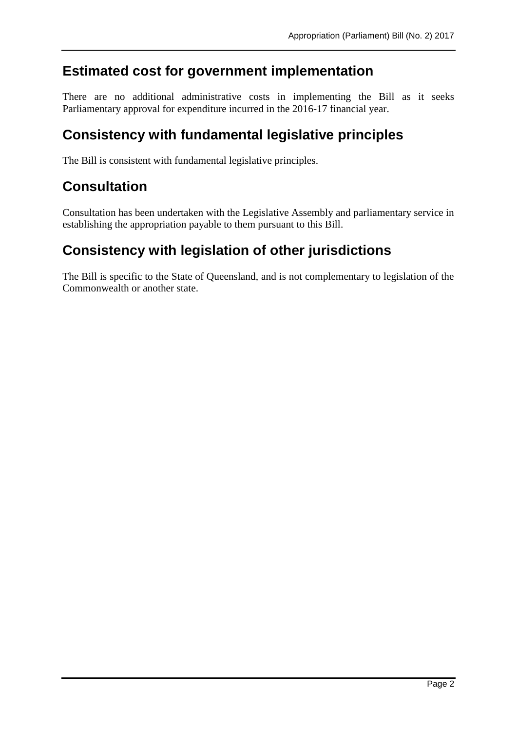#### **Estimated cost for government implementation**

There are no additional administrative costs in implementing the Bill as it seeks Parliamentary approval for expenditure incurred in the 2016-17 financial year.

#### **Consistency with fundamental legislative principles**

The Bill is consistent with fundamental legislative principles.

#### **Consultation**

Consultation has been undertaken with the Legislative Assembly and parliamentary service in establishing the appropriation payable to them pursuant to this Bill.

#### **Consistency with legislation of other jurisdictions**

The Bill is specific to the State of Queensland, and is not complementary to legislation of the Commonwealth or another state.